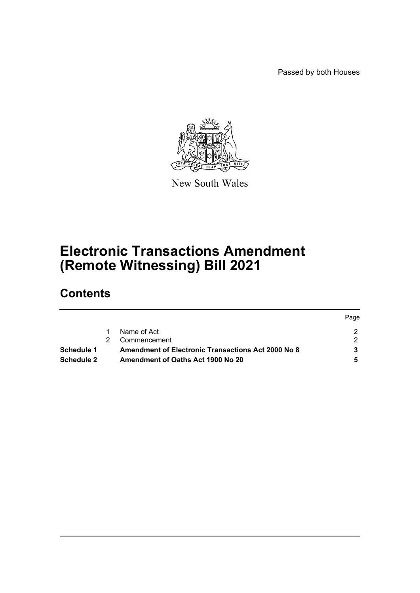Passed by both Houses



New South Wales

# **Electronic Transactions Amendment (Remote Witnessing) Bill 2021**

## **Contents**

|                   |                                                    | Page |
|-------------------|----------------------------------------------------|------|
|                   | Name of Act                                        |      |
|                   | Commencement                                       |      |
| Schedule 1        | Amendment of Electronic Transactions Act 2000 No 8 |      |
| <b>Schedule 2</b> | Amendment of Oaths Act 1900 No 20                  |      |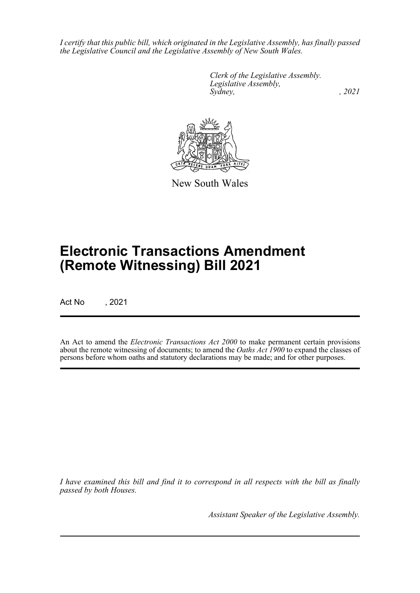*I certify that this public bill, which originated in the Legislative Assembly, has finally passed the Legislative Council and the Legislative Assembly of New South Wales.*

> *Clerk of the Legislative Assembly. Legislative Assembly, Sydney, , 2021*



New South Wales

## **Electronic Transactions Amendment (Remote Witnessing) Bill 2021**

Act No , 2021

An Act to amend the *Electronic Transactions Act 2000* to make permanent certain provisions about the remote witnessing of documents; to amend the *Oaths Act 1900* to expand the classes of persons before whom oaths and statutory declarations may be made; and for other purposes.

*I have examined this bill and find it to correspond in all respects with the bill as finally passed by both Houses.*

*Assistant Speaker of the Legislative Assembly.*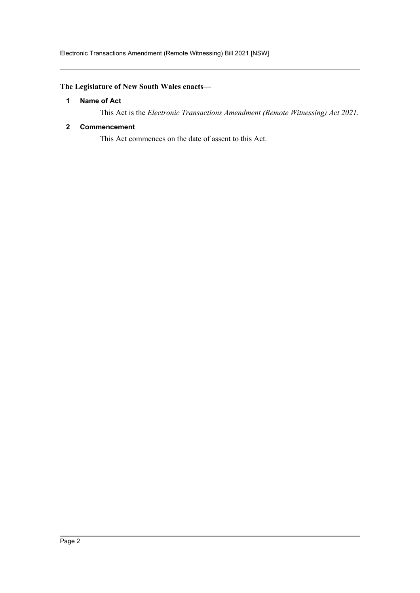## <span id="page-2-0"></span>**The Legislature of New South Wales enacts—**

#### **1 Name of Act**

This Act is the *Electronic Transactions Amendment (Remote Witnessing) Act 2021*.

#### <span id="page-2-1"></span>**2 Commencement**

This Act commences on the date of assent to this Act.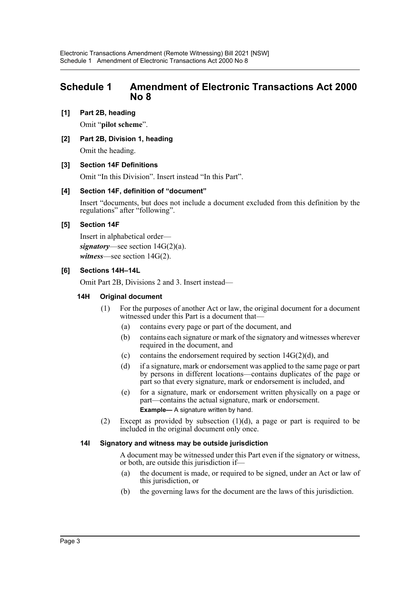## <span id="page-3-0"></span>**Schedule 1 Amendment of Electronic Transactions Act 2000 No 8**

## **[1] Part 2B, heading**

Omit "**pilot scheme**".

**[2] Part 2B, Division 1, heading**

Omit the heading.

## **[3] Section 14F Definitions**

Omit "In this Division". Insert instead "In this Part".

## **[4] Section 14F, definition of "document"**

Insert "documents, but does not include a document excluded from this definition by the regulations" after "following".

## **[5] Section 14F**

Insert in alphabetical order *signatory*—see section 14G(2)(a). *witness*—see section 14G(2).

## **[6] Sections 14H–14L**

Omit Part 2B, Divisions 2 and 3. Insert instead—

## **14H Original document**

- (1) For the purposes of another Act or law, the original document for a document witnessed under this Part is a document that-
	- (a) contains every page or part of the document, and
	- (b) contains each signature or mark of the signatory and witnesses wherever required in the document, and
	- (c) contains the endorsement required by section  $14G(2)(d)$ , and
	- (d) if a signature, mark or endorsement was applied to the same page or part by persons in different locations—contains duplicates of the page or part so that every signature, mark or endorsement is included, and
	- (e) for a signature, mark or endorsement written physically on a page or part—contains the actual signature, mark or endorsement. **Example—** A signature written by hand.
- (2) Except as provided by subsection  $(1)(d)$ , a page or part is required to be included in the original document only once.

## **14I Signatory and witness may be outside jurisdiction**

A document may be witnessed under this Part even if the signatory or witness, or both, are outside this jurisdiction if—

- (a) the document is made, or required to be signed, under an Act or law of this jurisdiction, or
- (b) the governing laws for the document are the laws of this jurisdiction.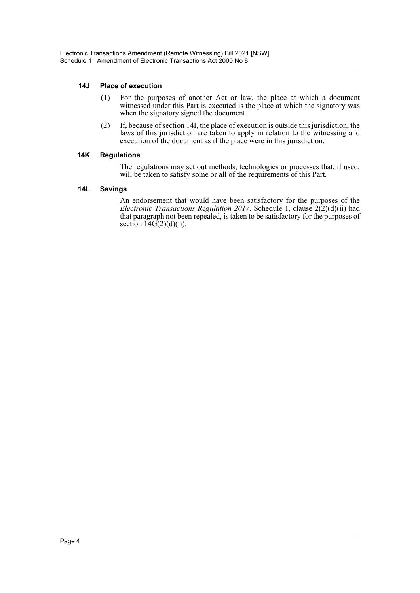#### **14J Place of execution**

- (1) For the purposes of another Act or law, the place at which a document witnessed under this Part is executed is the place at which the signatory was when the signatory signed the document.
- (2) If, because of section 14I, the place of execution is outside this jurisdiction, the laws of this jurisdiction are taken to apply in relation to the witnessing and execution of the document as if the place were in this jurisdiction.

#### **14K Regulations**

The regulations may set out methods, technologies or processes that, if used, will be taken to satisfy some or all of the requirements of this Part.

#### **14L Savings**

An endorsement that would have been satisfactory for the purposes of the *Electronic Transactions Regulation 2017*, Schedule 1, clause  $2(\hat{2})(d)(ii)$  had that paragraph not been repealed, is taken to be satisfactory for the purposes of section  $14G(2)(d)(ii)$ .